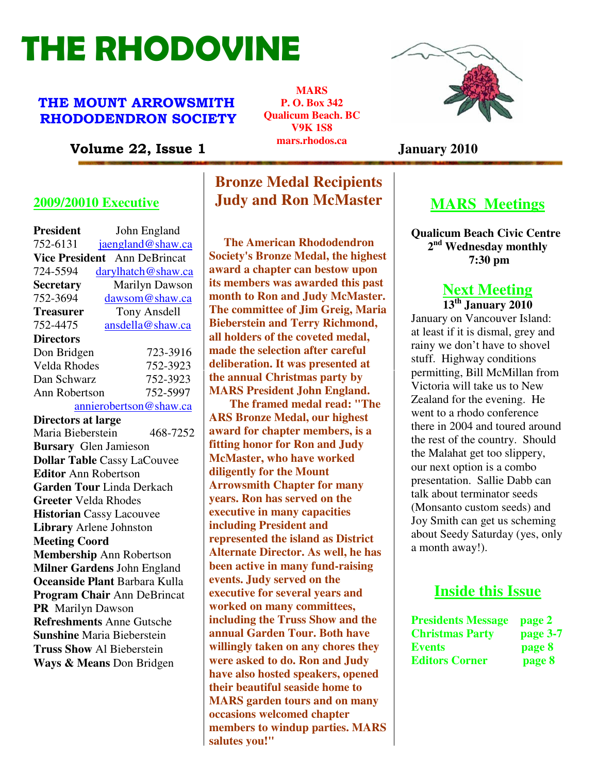# THE RHODOVINE

#### THE MOUNT ARROWSMITH RHODODENDRON SOCIETY

**MARS P. O. Box 342 Qualicum Beach. BC V9K 1S8 mars.rhodos.ca** 



Volume 22, Issue 1 *Indistribution* January 2010

#### **2009/20010 Executive**

| <b>President</b>                   | John England           |  |
|------------------------------------|------------------------|--|
| 752-6131                           | jaengland@shaw.ca      |  |
| <b>Vice President</b>              | Ann DeBrincat          |  |
| 724-5594                           | darylhatch@shaw.ca     |  |
| <b>Secretary</b>                   | Marilyn Dawson         |  |
| 752-3694                           | dawsom@shaw.ca         |  |
| <b>Treasurer</b>                   | <b>Tony Ansdell</b>    |  |
| 752-4475                           | ansdella@shaw.ca       |  |
| <b>Directors</b>                   |                        |  |
| Don Bridgen                        | 723-3916               |  |
| Velda Rhodes                       | 752-3923               |  |
| Dan Schwarz                        | 752-3923               |  |
| Ann Robertson                      | 752-5997               |  |
|                                    | annierobertson@shaw.ca |  |
| <b>Directors at large</b>          |                        |  |
| Maria Bieberstein                  | 468-7252               |  |
| <b>Bursary</b> Glen Jamieson       |                        |  |
| <b>Dollar Table Cassy LaCouvee</b> |                        |  |
| <b>Editor Ann Robertson</b>        |                        |  |
| Garden Tour Linda Derkach          |                        |  |
| <b>Greeter Velda Rhodes</b>        |                        |  |
| <b>Historian Cassy Lacouvee</b>    |                        |  |
| Library Arlene Johnston            |                        |  |
| <b>Meeting Coord</b>               |                        |  |
| <b>Membership Ann Robertson</b>    |                        |  |
| Milner Gardens John England        |                        |  |
| Oceanside Plant Barbara Kulla      |                        |  |
| Program Chair Ann DeBrincat        |                        |  |
| PR Marilyn Dawson                  |                        |  |
| <b>Refreshments Anne Gutsche</b>   |                        |  |
| <b>Sunshine Maria Bieberstein</b>  |                        |  |
| <b>Truss Show Al Bieberstein</b>   |                        |  |
| Ways & Means Don Bridgen           |                        |  |

# **Bronze Medal Recipients Judy and Ron McMaster**

 **The American Rhododendron Society's Bronze Medal, the highest award a chapter can bestow upon its members was awarded this past month to Ron and Judy McMaster. The committee of Jim Greig, Maria Bieberstein and Terry Richmond, all holders of the coveted medal, made the selection after careful deliberation. It was presented at the annual Christmas party by MARS President John England.** 

**Sunshine** Maria Bieberstein **annual Garden Tour. Both have The framed medal read: "The ARS Bronze Medal, our highest award for chapter members, is a fitting honor for Ron and Judy McMaster, who have worked diligently for the Mount Arrowsmith Chapter for many years. Ron has served on the executive in many capacities including President and represented the island as District Alternate Director. As well, he has been active in many fund-raising events. Judy served on the executive for several years and worked on many committees, including the Truss Show and the willingly taken on any chores they were asked to do. Ron and Judy have also hosted speakers, opened their beautiful seaside home to MARS garden tours and on many occasions welcomed chapter members to windup parties. MARS salutes you!"**

# **MARS Meetings**

**Qualicum Beach Civic Centre 2 nd Wednesday monthly 7:30 pm** 

## **Next Meeting**

**13th January 2010**  January on Vancouver Island: at least if it is dismal, grey and rainy we don't have to shovel stuff. Highway conditions permitting, Bill McMillan from Victoria will take us to New Zealand for the evening. He went to a rhodo conference there in 2004 and toured around the rest of the country. Should the Malahat get too slippery, our next option is a combo presentation. Sallie Dabb can talk about terminator seeds (Monsanto custom seeds) and Joy Smith can get us scheming about Seedy Saturday (yes, only a month away!).

## **Inside this Issue**

| <b>Presidents Message</b> | page 2   |
|---------------------------|----------|
| <b>Christmas Party</b>    | page 3-7 |
| <b>Events</b>             | page 8   |
| <b>Editors Corner</b>     | page 8   |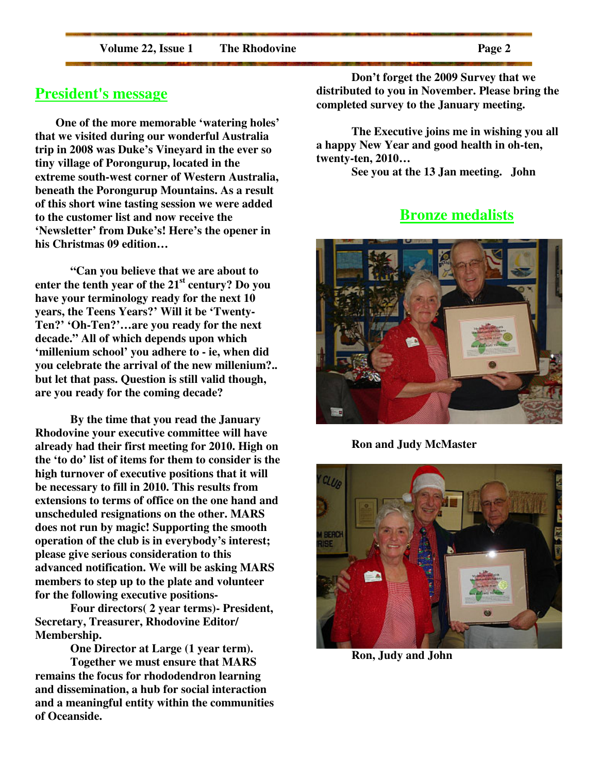**Volume 22, Issue 1 The Rhodovine Page 2** 

 **One of the more memorable 'watering holes' that we visited during our wonderful Australia trip in 2008 was Duke's Vineyard in the ever so tiny village of Porongurup, located in the extreme south-west corner of Western Australia, beneath the Porongurup Mountains. As a result of this short wine tasting session we were added to the customer list and now receive the 'Newsletter' from Duke's! Here's the opener in his Christmas 09 edition…**

 **"Can you believe that we are about to enter the tenth year of the 21st century? Do you have your terminology ready for the next 10 years, the Teens Years?' Will it be 'Twenty-Ten?' 'Oh-Ten?'…are you ready for the next decade." All of which depends upon which 'millenium school' you adhere to - ie, when did you celebrate the arrival of the new millenium?.. but let that pass. Question is still valid though, are you ready for the coming decade?** 

 **By the time that you read the January Rhodovine your executive committee will have already had their first meeting for 2010. High on the 'to do' list of items for them to consider is the high turnover of executive positions that it will be necessary to fill in 2010. This results from extensions to terms of office on the one hand and unscheduled resignations on the other. MARS does not run by magic! Supporting the smooth operation of the club is in everybody's interest; please give serious consideration to this advanced notification. We will be asking MARS members to step up to the plate and volunteer for the following executive positions-**

**Four directors( 2 year terms)- President, Secretary, Treasurer, Rhodovine Editor/ Membership.** 

**One Director at Large (1 year term). Together we must ensure that MARS remains the focus for rhododendron learning and dissemination, a hub for social interaction and a meaningful entity within the communities of Oceanside.** 

**Don't forget the 2009 Survey that we distributed to you in November. Please bring the completed survey to the January meeting.** 

**The Executive joins me in wishing you all a happy New Year and good health in oh-ten, twenty-ten, 2010…**

**See you at the 13 Jan meeting. John** 

### **Bronze medalists**



**Ron and Judy McMaster** 



**Ron, Judy and John**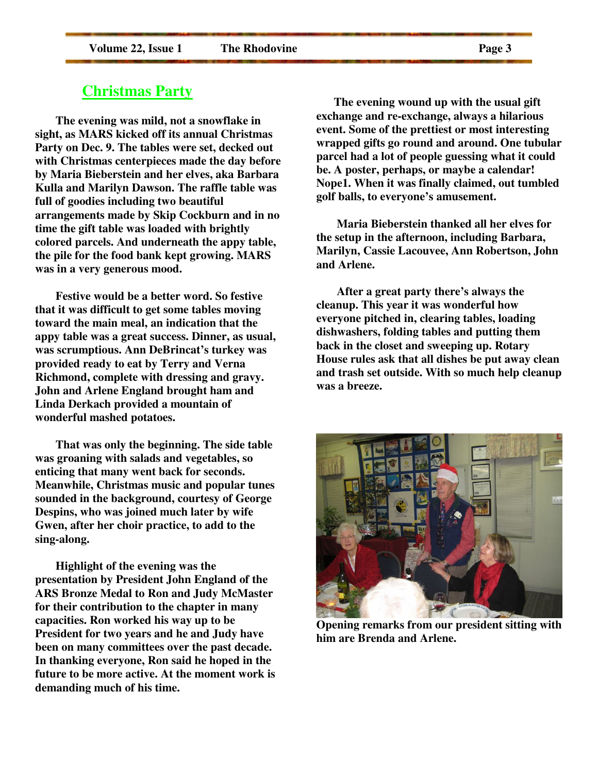#### **Christmas Party**

 **The evening was mild, not a snowflake in sight, as MARS kicked off its annual Christmas Party on Dec. 9. The tables were set, decked out with Christmas centerpieces made the day before by Maria Bieberstein and her elves, aka Barbara Kulla and Marilyn Dawson. The raffle table was full of goodies including two beautiful arrangements made by Skip Cockburn and in no time the gift table was loaded with brightly colored parcels. And underneath the appy table, the pile for the food bank kept growing. MARS was in a very generous mood.** 

 **Festive would be a better word. So festive that it was difficult to get some tables moving toward the main meal, an indication that the appy table was a great success. Dinner, as usual, was scrumptious. Ann DeBrincat's turkey was provided ready to eat by Terry and Verna Richmond, complete with dressing and gravy. John and Arlene England brought ham and Linda Derkach provided a mountain of wonderful mashed potatoes.** 

 **That was only the beginning. The side table was groaning with salads and vegetables, so enticing that many went back for seconds. Meanwhile, Christmas music and popular tunes sounded in the background, courtesy of George Despins, who was joined much later by wife Gwen, after her choir practice, to add to the sing-along.** 

 **Highlight of the evening was the presentation by President John England of the ARS Bronze Medal to Ron and Judy McMaster for their contribution to the chapter in many capacities. Ron worked his way up to be President for two years and he and Judy have been on many committees over the past decade. In thanking everyone, Ron said he hoped in the future to be more active. At the moment work is demanding much of his time.** 

 **The evening wound up with the usual gift exchange and re-exchange, always a hilarious event. Some of the prettiest or most interesting wrapped gifts go round and around. One tubular parcel had a lot of people guessing what it could be. A poster, perhaps, or maybe a calendar! Nope1. When it was finally claimed, out tumbled golf balls, to everyone's amusement.** 

 **Maria Bieberstein thanked all her elves for the setup in the afternoon, including Barbara, Marilyn, Cassie Lacouvee, Ann Robertson, John and Arlene.** 

 **After a great party there's always the cleanup. This year it was wonderful how everyone pitched in, clearing tables, loading dishwashers, folding tables and putting them back in the closet and sweeping up. Rotary House rules ask that all dishes be put away clean and trash set outside. With so much help cleanup was a breeze.** 



**Opening remarks from our president sitting with him are Brenda and Arlene.**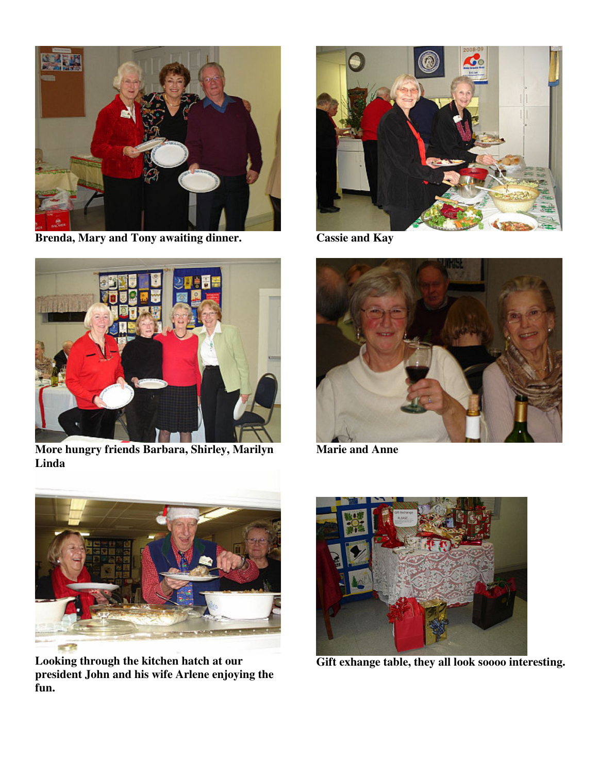

**Brenda, Mary and Tony awaiting dinner.** 



**More hungry friends Barbara, Shirley, Marilyn Linda**



**Cassie and Kay** 



**Marie and Anne** 



**Looking through the kitchen hatch at our president John and his wife Arlene enjoying the fun.** 



**Gift exhange table, they all look soooo interesting.**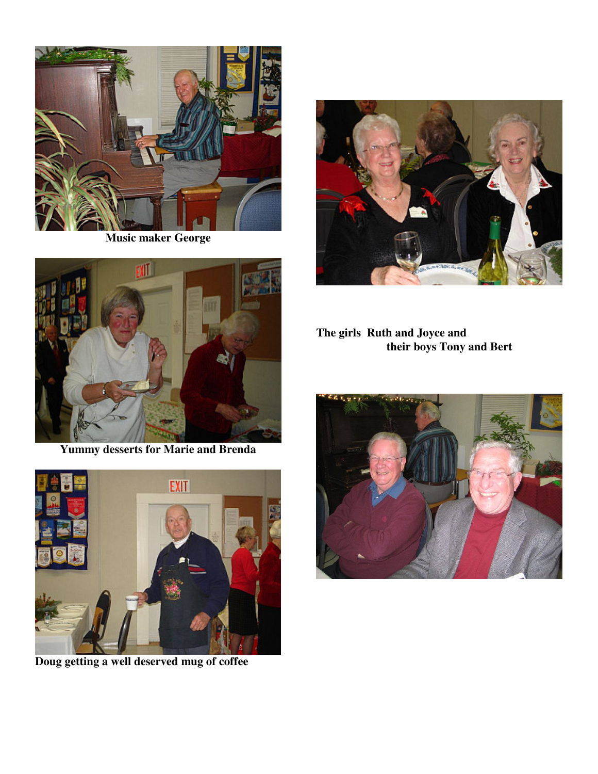

**Music maker George** 



**Yummy desserts for Marie and Brenda** 



**Doug getting a well deserved mug of coffee** 



**The girls Ruth and Joyce and their boys Tony and Bert** 

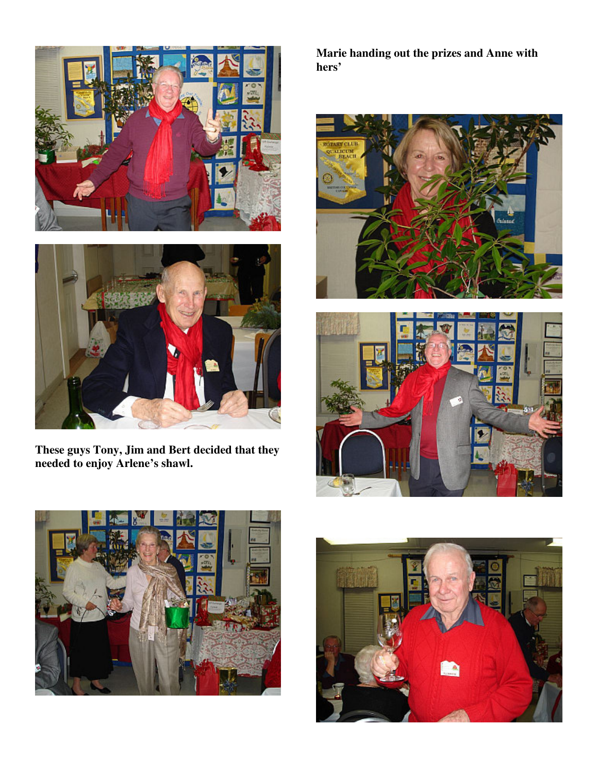



**These guys Tony, Jim and Bert decided that they needed to enjoy Arlene's shawl.** 

**Marie handing out the prizes and Anne with hers'** 







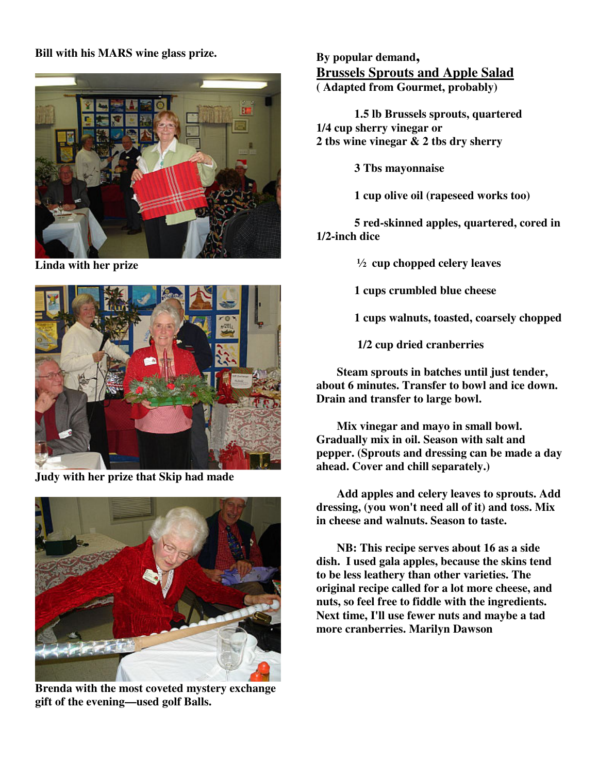#### **Bill with his MARS wine glass prize.**



**Linda with her prize** 



**Judy with her prize that Skip had made** 



**Brenda with the most coveted mystery exchange gift of the evening—used golf Balls.** 

**By popular demand, Brussels Sprouts and Apple Salad ( Adapted from Gourmet, probably)** 

 **1.5 lb Brussels sprouts, quartered 1/4 cup sherry vinegar or 2 tbs wine vinegar & 2 tbs dry sherry** 

 **3 Tbs mayonnaise** 

 **1 cup olive oil (rapeseed works too)** 

 **5 red-skinned apples, quartered, cored in 1/2-inch dice** 

 **½ cup chopped celery leaves** 

 **1 cups crumbled blue cheese** 

 **1 cups walnuts, toasted, coarsely chopped** 

 **1/2 cup dried cranberries** 

 **Steam sprouts in batches until just tender, about 6 minutes. Transfer to bowl and ice down. Drain and transfer to large bowl.** 

 **Mix vinegar and mayo in small bowl. Gradually mix in oil. Season with salt and pepper. (Sprouts and dressing can be made a day ahead. Cover and chill separately.)** 

 **Add apples and celery leaves to sprouts. Add dressing, (you won't need all of it) and toss. Mix in cheese and walnuts. Season to taste.** 

 **NB: This recipe serves about 16 as a side dish. I used gala apples, because the skins tend to be less leathery than other varieties. The original recipe called for a lot more cheese, and nuts, so feel free to fiddle with the ingredients. Next time, I'll use fewer nuts and maybe a tad more cranberries. Marilyn Dawson**